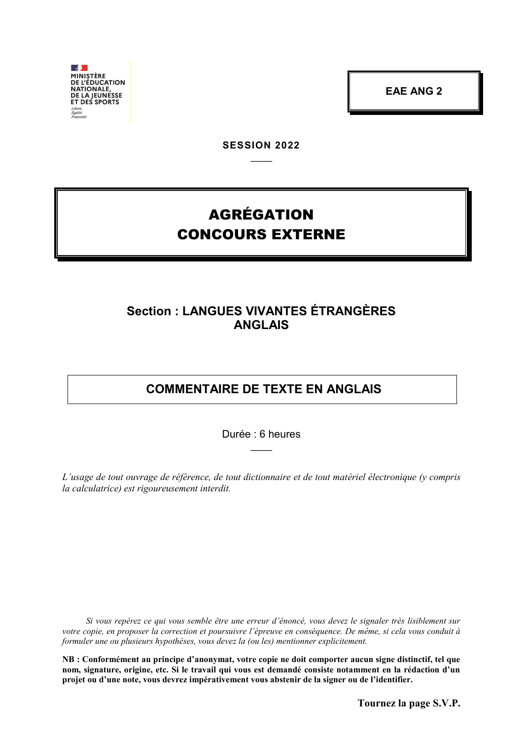$\sqrt{2}$ **MINISTÈRE**<br>DE L'ÉDUCATION **DE L'EDUCATION<br>NATIONALE,<br>DE LA JEUNESSE<br>ET DES SPORTS** 

**EAE ANG 2**

**SESSION 2022**  $\overline{\phantom{a}}$ 

## AGRÉGATION CONCOURS EXTERNE

## **Section : LANGUES VIVANTES ÉTRANGÈRES ANGLAIS**

## **COMMENTAIRE DE TEXTE EN ANGLAIS**

Durée : 6 heures  $\overline{\phantom{a}}$ 

*L'usage de tout ouvrage de référence, de tout dictionnaire et de tout matériel électronique (y compris la calculatrice) est rigoureusement interdit.*

*Si vous repérez ce qui vous semble être une erreur d'énoncé, vous devez le signaler très lisiblement sur votre copie, en proposer la correction et poursuivre l'épreuve en conséquence. De même, si cela vous conduit à formuler une ou plusieurs hypothèses, vous devez la (ou les) mentionner explicitement.*

**NB : Conformément au principe d'anonymat, votre copie ne doit comporter aucun signe distinctif, tel que nom, signature, origine, etc. Si le travail qui vous est demandé consiste notamment en la rédaction d'un projet ou d'une note, vous devrez impérativement vous abstenir de la signer ou de l'identifier.**

**Tournez la page S.V.P.**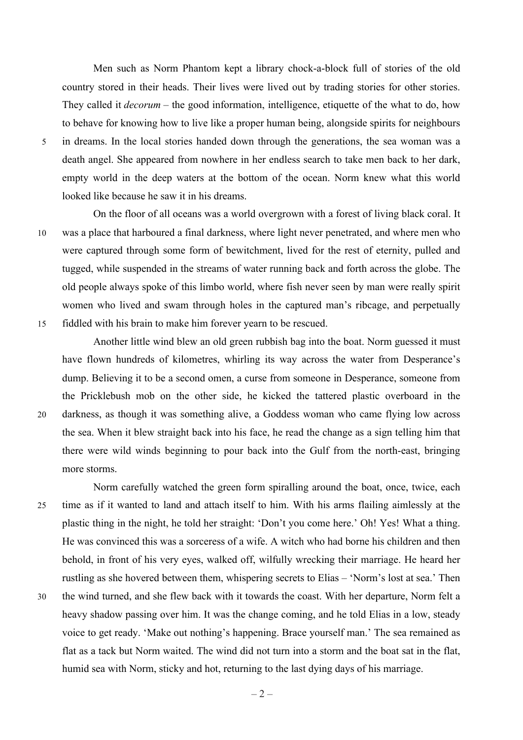Men such as Norm Phantom kept a library chock-a-block full of stories of the old country stored in their heads. Their lives were lived out by trading stories for other stories. They called it *decorum* – the good information, intelligence, etiquette of the what to do, how to behave for knowing how to live like a proper human being, alongside spirits for neighbours 5 in dreams. In the local stories handed down through the generations, the sea woman was a death angel. She appeared from nowhere in her endless search to take men back to her dark, empty world in the deep waters at the bottom of the ocean. Norm knew what this world looked like because he saw it in his dreams.

On the floor of all oceans was a world overgrown with a forest of living black coral. It 10 was a place that harboured a final darkness, where light never penetrated, and where men who were captured through some form of bewitchment, lived for the rest of eternity, pulled and tugged, while suspended in the streams of water running back and forth across the globe. The old people always spoke of this limbo world, where fish never seen by man were really spirit women who lived and swam through holes in the captured man's ribcage, and perpetually 15 fiddled with his brain to make him forever yearn to be rescued.

Another little wind blew an old green rubbish bag into the boat. Norm guessed it must have flown hundreds of kilometres, whirling its way across the water from Desperance's dump. Believing it to be a second omen, a curse from someone in Desperance, someone from the Pricklebush mob on the other side, he kicked the tattered plastic overboard in the 20 darkness, as though it was something alive, a Goddess woman who came flying low across the sea. When it blew straight back into his face, he read the change as a sign telling him that there were wild winds beginning to pour back into the Gulf from the north-east, bringing more storms.

Norm carefully watched the green form spiralling around the boat, once, twice, each 25 time as if it wanted to land and attach itself to him. With his arms flailing aimlessly at the plastic thing in the night, he told her straight: 'Don't you come here.' Oh! Yes! What a thing. He was convinced this was a sorceress of a wife. A witch who had borne his children and then behold, in front of his very eyes, walked off, wilfully wrecking their marriage. He heard her rustling as she hovered between them, whispering secrets to Elias – 'Norm's lost at sea.' Then

30 the wind turned, and she flew back with it towards the coast. With her departure, Norm felt a heavy shadow passing over him. It was the change coming, and he told Elias in a low, steady voice to get ready. 'Make out nothing's happening. Brace yourself man.' The sea remained as flat as a tack but Norm waited. The wind did not turn into a storm and the boat sat in the flat, humid sea with Norm, sticky and hot, returning to the last dying days of his marriage.

 $-2 -$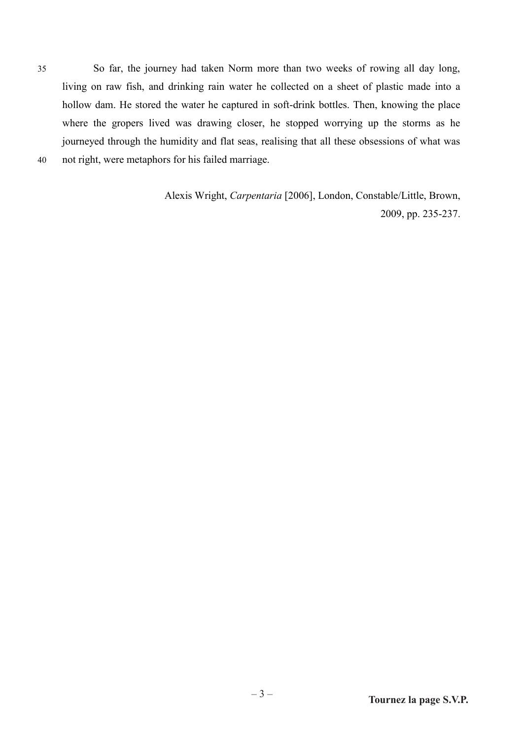35 So far, the journey had taken Norm more than two weeks of rowing all day long, living on raw fish, and drinking rain water he collected on a sheet of plastic made into a hollow dam. He stored the water he captured in soft-drink bottles. Then, knowing the place where the gropers lived was drawing closer, he stopped worrying up the storms as he journeyed through the humidity and flat seas, realising that all these obsessions of what was 40 not right, were metaphors for his failed marriage.

> Alexis Wright, *Carpentaria* [2006], London, Constable/Little, Brown, 2009, pp. 235-237.